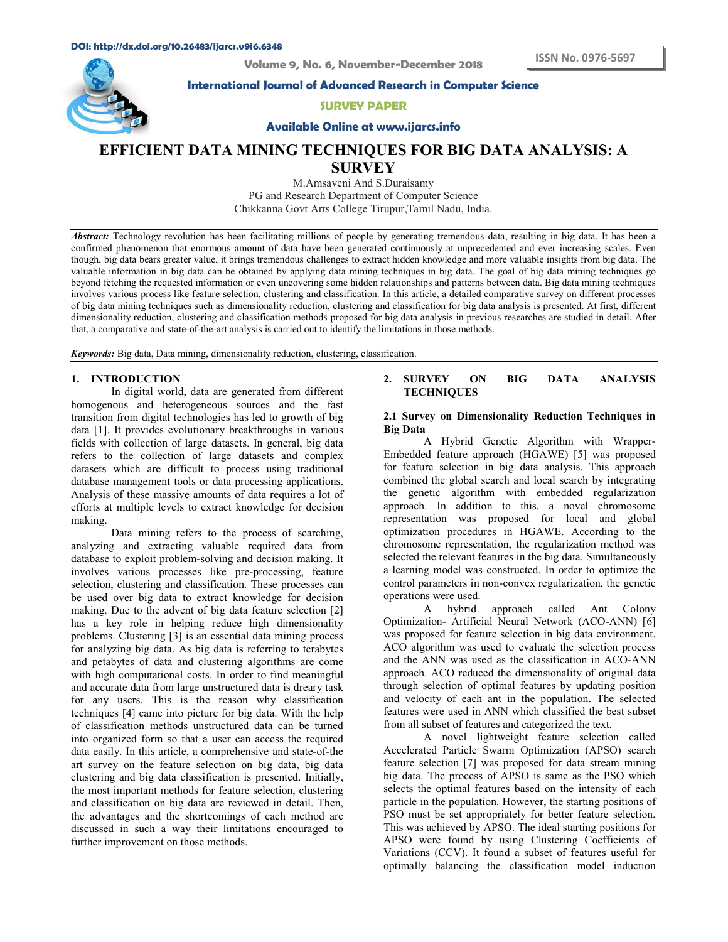Volume 9, No. 6, November-December 2018

International Journal of Advanced Research in Computer Science

SURVEY PAPER

Available Online at www.ijarcs.info

# EFFICIENT DATA MINING TECHNIQUES FOR BIG DATA ANALYSIS: A **SURVEY**

M.Amsaveni And S.Duraisamy PG and Research Department of Computer Science Chikkanna Govt Arts College Tirupur,Tamil Nadu, India.

Abstract: Technology revolution has been facilitating millions of people by generating tremendous data, resulting in big data. It has been a confirmed phenomenon that enormous amount of data have been generated continuously at unprecedented and ever increasing scales. Even though, big data bears greater value, it brings tremendous challenges to extract hidden knowledge and more valuable insights from big data. The valuable information in big data can be obtained by applying data mining techniques in big data. The goal of big data mining techniques go beyond fetching the requested information or even uncovering some hidden relationships and patterns between data. Big data mining techniques involves various process like feature selection, clustering and classification. In this article, a detailed comparative survey on different processes of big data mining techniques such as dimensionality reduction, clustering and classification for big data analysis is presented. At first, different dimensionality reduction, clustering and classification methods proposed for big data analysis in previous researches are studied in detail. After that, a comparative and state-of-the-art analysis is carried out to identify the limitations in those methods.

Keywords: Big data, Data mining, dimensionality reduction, clustering, classification.

## 1. INTRODUCTION

In digital world, data are generated from different homogenous and heterogeneous sources and the fast transition from digital technologies has led to growth of big data [1]. It provides evolutionary breakthroughs in various fields with collection of large datasets. In general, big data refers to the collection of large datasets and complex datasets which are difficult to process using traditional database management tools or data processing applications. Analysis of these massive amounts of data requires a lot of efforts at multiple levels to extract knowledge for decision making.

Data mining refers to the process of searching, analyzing and extracting valuable required data from database to exploit problem-solving and decision making. It involves various processes like pre-processing, feature selection, clustering and classification. These processes can be used over big data to extract knowledge for decision operations w<br>making Due to the advent of big data feature selection [2] A making. Due to the advent of big data feature selection [2] has a key role in helping reduce high dimensionality problems. Clustering [3] is an essential data mining process for analyzing big data. As big data is referring to terabytes and petabytes of data and clustering algorithms are come with high computational costs. In order to find meaningful and accurate data from large unstructured data is dreary task for any users. This is the reason why classification techniques [4] came into picture for big data. With the help of classification methods unstructured data can be turned into organized form so that a user can access the required data easily. In this article, a comprehensive and state-of-the art survey on the feature selection on big data, big data clustering and big data classification is presented. Initially, the most important methods for feature selection, clustering and classification on big data are reviewed in detail. Then, the advantages and the shortcomings of each method are discussed in such a way their limitations encouraged to further improvement on those methods.

# 2. SURVEY ON BIG DATA ANALYSIS **TECHNIQUES**

#### 2.1 Survey on Dimensionality Reduction Techniques in Big Data

A Hybrid Genetic Algorithm with Wrapper-Embedded feature approach (HGAWE) [5] was proposed for feature selection in big data analysis. This approach combined the global search and local search by integrating the genetic algorithm with embedded regularization approach. In addition to this, a novel chromosome representation was proposed for local and global optimization procedures in HGAWE. According to the chromosome representation, the regularization method was selected the relevant features in the big data. Simultaneously a learning model was constructed. In order to optimize the control parameters in non-convex regularization, the genetic operations were used.

hybrid approach called Ant Colony Optimization- Artificial Neural Network (ACO-ANN) [6] was proposed for feature selection in big data environment. ACO algorithm was used to evaluate the selection process and the ANN was used as the classification in ACO-ANN approach. ACO reduced the dimensionality of original data through selection of optimal features by updating position and velocity of each ant in the population. The selected features were used in ANN which classified the best subset from all subset of features and categorized the text.

A novel lightweight feature selection called Accelerated Particle Swarm Optimization (APSO) search feature selection [7] was proposed for data stream mining big data. The process of APSO is same as the PSO which selects the optimal features based on the intensity of each particle in the population. However, the starting positions of PSO must be set appropriately for better feature selection. This was achieved by APSO. The ideal starting positions for APSO were found by using Clustering Coefficients of Variations (CCV). It found a subset of features useful for optimally balancing the classification model induction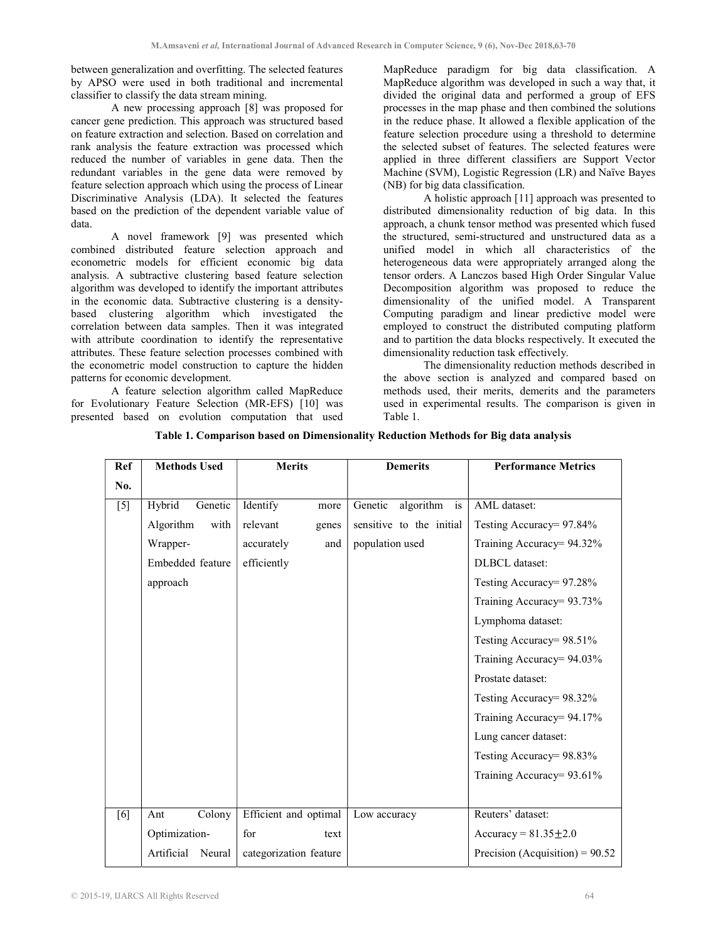between generalization and overfitting. The selected features by APSO were used in both traditional and incremental classifier to classify the data stream mining.

A new processing approach [8] was proposed for cancer gene prediction. This approach was structured based on feature extraction and selection. Based on correlation and rank analysis the feature extraction was processed which reduced the number of variables in gene data. Then the redundant variables in the gene data were removed by feature selection approach which using the process of Linear Discriminative Analysis (LDA). It selected the features based on the prediction of the dependent variable value of data.

A novel framework [9] was presented which combined distributed feature selection approach and econometric models for efficient economic big data analysis. A subtractive clustering based feature selection algorithm was developed to identify the important attributes in the economic data. Subtractive clustering is a densitybased clustering algorithm which investigated the correlation between data samples. Then it was integrated with attribute coordination to identify the representative attributes. These feature selection processes combined with the econometric model construction to capture the hidden patterns for economic development.

A feature selection algorithm called MapReduce for Evolutionary Feature Selection (MR-EFS) [10] was presented based on evolution computation that used MapReduce paradigm for big data classification. A MapReduce algorithm was developed in such a way that, it divided the original data and performed a group of EFS processes in the map phase and then combined the solutions in the reduce phase. It allowed a flexible application of the feature selection procedure using a threshold to determine the selected subset of features. The selected features were applied in three different classifiers are Support Vector Machine (SVM), Logistic Regression (LR) and Naïve Bayes (NB) for big data classification.

A holistic approach [11] approach was presented to distributed dimensionality reduction of big data. In this approach, a chunk tensor method was presented which fused the structured, semi-structured and unstructured data as a unified model in which all characteristics of the heterogeneous data were appropriately arranged along the tensor orders. A Lanczos based High Order Singular Value Decomposition algorithm was proposed to reduce the dimensionality of the unified model. A Transparent Computing paradigm and linear predictive model were employed to construct the distributed computing platform and to partition the data blocks respectively. It executed the dimensionality reduction task effectively.

The dimensionality reduction methods described in the above section is analyzed and compared based on methods used, their merits, demerits and the parameters used in experimental results. The comparison is given in Table 1.

| Ref   | <b>Methods Used</b>  | <b>Merits</b>          | <b>Demerits</b>          | <b>Performance Metrics</b>        |
|-------|----------------------|------------------------|--------------------------|-----------------------------------|
| No.   |                      |                        |                          |                                   |
| $[5]$ | Hybrid<br>Genetic    | Identify<br>more       | Genetic<br>algorithm is  | AML dataset:                      |
|       | Algorithm<br>with    | relevant<br>genes      | sensitive to the initial | Testing Accuracy= 97.84%          |
|       | Wrapper-             | accurately<br>and      | population used          | Training Accuracy= 94.32%         |
|       | Embedded feature     | efficiently            |                          | <b>DLBCL</b> dataset:             |
|       | approach             |                        |                          | Testing Accuracy= 97.28%          |
|       |                      |                        |                          | Training Accuracy= 93.73%         |
|       |                      |                        |                          | Lymphoma dataset:                 |
|       |                      |                        |                          | Testing Accuracy= 98.51%          |
|       |                      |                        |                          | Training Accuracy= 94.03%         |
|       |                      |                        |                          | Prostate dataset:                 |
|       |                      |                        |                          | Testing Accuracy= 98.32%          |
|       |                      |                        |                          | Training Accuracy= 94.17%         |
|       |                      |                        |                          | Lung cancer dataset:              |
|       |                      |                        |                          | Testing Accuracy= 98.83%          |
|       |                      |                        |                          | Training Accuracy= 93.61%         |
|       |                      |                        |                          |                                   |
| [6]   | Colony<br>Ant        | Efficient and optimal  | Low accuracy             | Reuters' dataset:                 |
|       | Optimization-        | for<br>text            |                          | Accuracy = $81.35 \pm 2.0$        |
|       | Artificial<br>Neural | categorization feature |                          | Precision (Acquisition) = $90.52$ |

Table 1. Comparison based on Dimensionality Reduction Methods for Big data analysis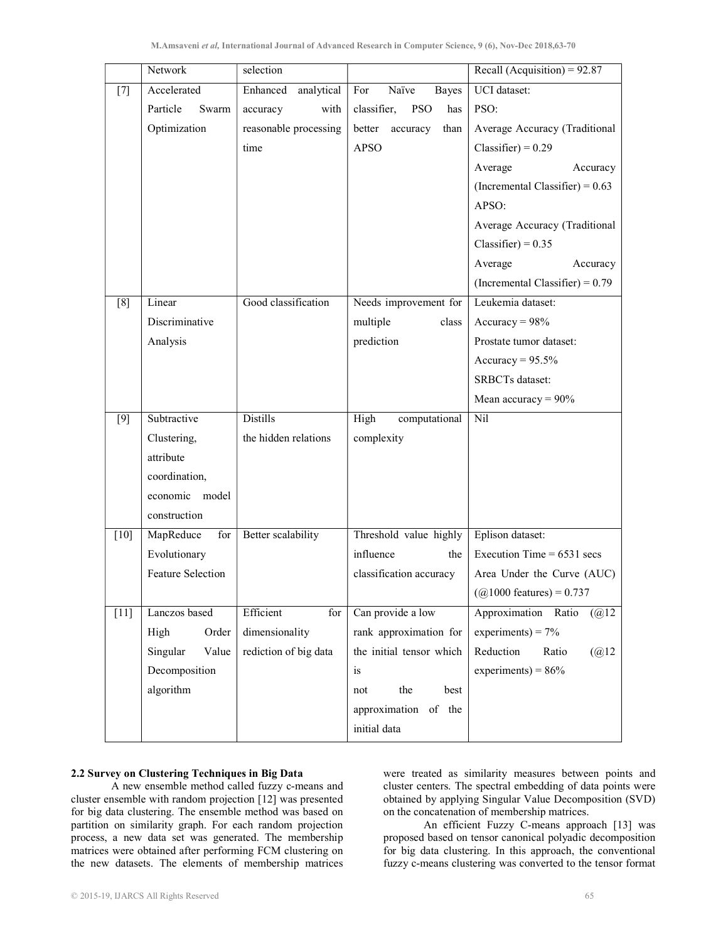|        | selection<br>Network |                        |                                  | Recall (Acquisition) = $92.87$     |
|--------|----------------------|------------------------|----------------------------------|------------------------------------|
| $[7]$  | Accelerated          | analytical<br>Enhanced | Naïve<br>For<br><b>Bayes</b>     | <b>UCI</b> dataset:                |
|        | Particle<br>Swarm    | accuracy<br>with       | classifier,<br><b>PSO</b><br>has | PSO:                               |
|        | Optimization         | reasonable processing  | better accuracy<br>than          | Average Accuracy (Traditional      |
|        |                      | time                   | <b>APSO</b>                      | $Classifier) = 0.29$               |
|        |                      |                        |                                  | Average<br>Accuracy                |
|        |                      |                        |                                  | (Incremental Classifier) = $0.63$  |
|        |                      |                        |                                  | APSO:                              |
|        |                      |                        |                                  | Average Accuracy (Traditional      |
|        |                      |                        |                                  | Classifier) = $0.35$               |
|        |                      |                        |                                  | Average<br>Accuracy                |
|        |                      |                        |                                  | (Incremental Classifier) = $0.79$  |
| [8]    | Linear               | Good classification    | Needs improvement for            | Leukemia dataset:                  |
|        | Discriminative       |                        | multiple<br>class                | $Accuracy = 98%$                   |
|        | Analysis             |                        | prediction                       | Prostate tumor dataset:            |
|        |                      |                        |                                  | Accuracy = $95.5\%$                |
|        |                      |                        |                                  | <b>SRBCTs</b> dataset:             |
|        |                      |                        |                                  | Mean accuracy = $90\%$             |
| $[9]$  | Subtractive          | <b>Distills</b>        | High<br>computational            | Nil                                |
|        | Clustering,          | the hidden relations   | complexity                       |                                    |
|        | attribute            |                        |                                  |                                    |
|        | coordination,        |                        |                                  |                                    |
|        | economic model       |                        |                                  |                                    |
|        | construction         |                        |                                  |                                    |
| $[10]$ | MapReduce<br>for     | Better scalability     | Threshold value highly           | Eplison dataset:                   |
|        | Evolutionary         |                        | influence<br>the                 | Execution Time = $6531$ secs       |
|        | Feature Selection    |                        | classification accuracy          | Area Under the Curve (AUC)         |
|        |                      |                        |                                  | $(Q1000 \text{ features}) = 0.737$ |
| $[11]$ | Lanczos based        | Efficient<br>for       | Can provide a low                | Approximation Ratio<br>(Q(2))      |
|        | High<br>Order        | dimensionality         | rank approximation for           | experiments) = $7\%$               |
|        | Singular<br>Value    | rediction of big data  | the initial tensor which         | Reduction<br>Ratio<br>(Q(2)2)      |
|        | Decomposition        |                        | is                               | experiments) = $86%$               |
|        | algorithm            |                        | the<br>best<br>not               |                                    |
|        |                      |                        | approximation of the             |                                    |
|        |                      |                        | initial data                     |                                    |

## 2.2 Survey on Clustering Techniques in Big Data

A new ensemble method called fuzzy c-means and cluster ensemble with random projection [12] was presented for big data clustering. The ensemble method was based on partition on similarity graph. For each random projection process, a new data set was generated. The membership matrices were obtained after performing FCM clustering on the new datasets. The elements of membership matrices

were treated as similarity measures between points and cluster centers. The spectral embedding of data points were obtained by applying Singular Value Decomposition (SVD) on the concatenation of membership matrices.

An efficient Fuzzy C-means approach [13] was proposed based on tensor canonical polyadic decomposition for big data clustering. In this approach, the conventional fuzzy c-means clustering was converted to the tensor format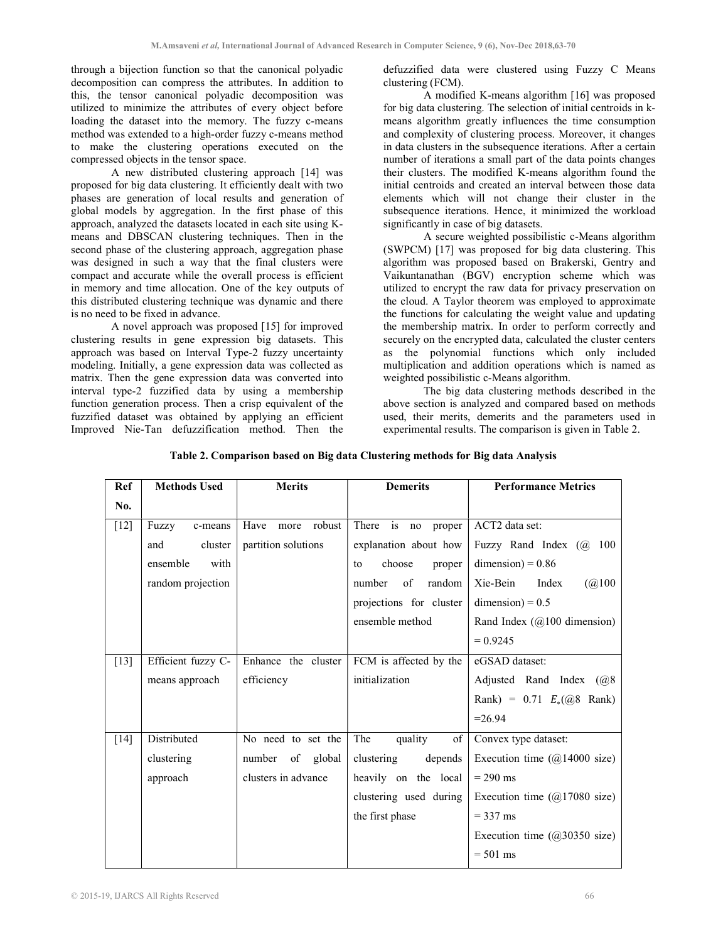through a bijection function so that the canonical polyadic decomposition can compress the attributes. In addition to this, the tensor canonical polyadic decomposition was utilized to minimize the attributes of every object before loading the dataset into the memory. The fuzzy c-means method was extended to a high-order fuzzy c-means method to make the clustering operations executed on the compressed objects in the tensor space.

A new distributed clustering approach [14] was proposed for big data clustering. It efficiently dealt with two phases are generation of local results and generation of global models by aggregation. In the first phase of this approach, analyzed the datasets located in each site using Kmeans and DBSCAN clustering techniques. Then in the second phase of the clustering approach, aggregation phase was designed in such a way that the final clusters were compact and accurate while the overall process is efficient in memory and time allocation. One of the key outputs of this distributed clustering technique was dynamic and there is no need to be fixed in advance.

A novel approach was proposed [15] for improved clustering results in gene expression big datasets. This approach was based on Interval Type-2 fuzzy uncertainty modeling. Initially, a gene expression data was collected as matrix. Then the gene expression data was converted into interval type-2 fuzzified data by using a membership function generation process. Then a crisp equivalent of the fuzzified dataset was obtained by applying an efficient Improved Nie-Tan defuzzification method. Then the

defuzzified data were clustered using Fuzzy C Means clustering (FCM).

A modified K-means algorithm [16] was proposed for big data clustering. The selection of initial centroids in kmeans algorithm greatly influences the time consumption and complexity of clustering process. Moreover, it changes in data clusters in the subsequence iterations. After a certain number of iterations a small part of the data points changes their clusters. The modified K-means algorithm found the initial centroids and created an interval between those data elements which will not change their cluster in the subsequence iterations. Hence, it minimized the workload significantly in case of big datasets.

A secure weighted possibilistic c-Means algorithm (SWPCM) [17] was proposed for big data clustering. This algorithm was proposed based on Brakerski, Gentry and Vaikuntanathan (BGV) encryption scheme which was utilized to encrypt the raw data for privacy preservation on the cloud. A Taylor theorem was employed to approximate the functions for calculating the weight value and updating the membership matrix. In order to perform correctly and securely on the encrypted data, calculated the cluster centers as the polynomial functions which only included multiplication and addition operations which is named as weighted possibilistic c-Means algorithm.

The big data clustering methods described in the above section is analyzed and compared based on methods used, their merits, demerits and the parameters used in experimental results. The comparison is given in Table 2.

| <b>Ref</b> | <b>Methods Used</b> | <b>Merits</b>          | <b>Demerits</b>          | <b>Performance Metrics</b>             |
|------------|---------------------|------------------------|--------------------------|----------------------------------------|
| No.        |                     |                        |                          |                                        |
| $[12]$     | Fuzzy<br>c-means    | Have<br>robust<br>more | is no<br>There<br>proper | ACT2 data set:                         |
|            | and<br>cluster      | partition solutions    | explanation about how    | Fuzzy Rand Index (@ 100                |
|            | ensemble<br>with    |                        | choose<br>to<br>proper   | $dimension$ = 0.86                     |
|            | random projection   |                        | number<br>of<br>random   | (Q100)<br>Xie-Bein<br>Index            |
|            |                     |                        | projections for cluster  | $dimension$ = 0.5                      |
|            |                     |                        | ensemble method          | Rand Index $(Q100$ dimension)          |
|            |                     |                        |                          | $= 0.9245$                             |
| $[13]$     | Efficient fuzzy C-  | Enhance the cluster    | FCM is affected by the   | eGSAD dataset:                         |
|            | means approach      | efficiency             | initialization           | Adjusted Rand Index (@8)               |
|            |                     |                        |                          | Rank) = $0.71 E_*(@8$ Rank)            |
|            |                     |                        |                          | $=26.94$                               |
| $[14]$     | Distributed         | No need to set the     | The<br>quality<br>of     | Convex type dataset:                   |
|            | clustering          | number of global       | clustering<br>depends    | Execution time $(Q14000 \text{ size})$ |
|            | approach            | clusters in advance    | heavily on the local     | $= 290$ ms                             |
|            |                     |                        | clustering used during   | Execution time $(Q17080 \text{ size})$ |
|            |                     |                        | the first phase          | $=$ 337 ms                             |
|            |                     |                        |                          | Execution time $(Q30350 \text{ size})$ |
|            |                     |                        |                          | $= 501$ ms                             |
|            |                     |                        |                          |                                        |

### Table 2. Comparison based on Big data Clustering methods for Big data Analysis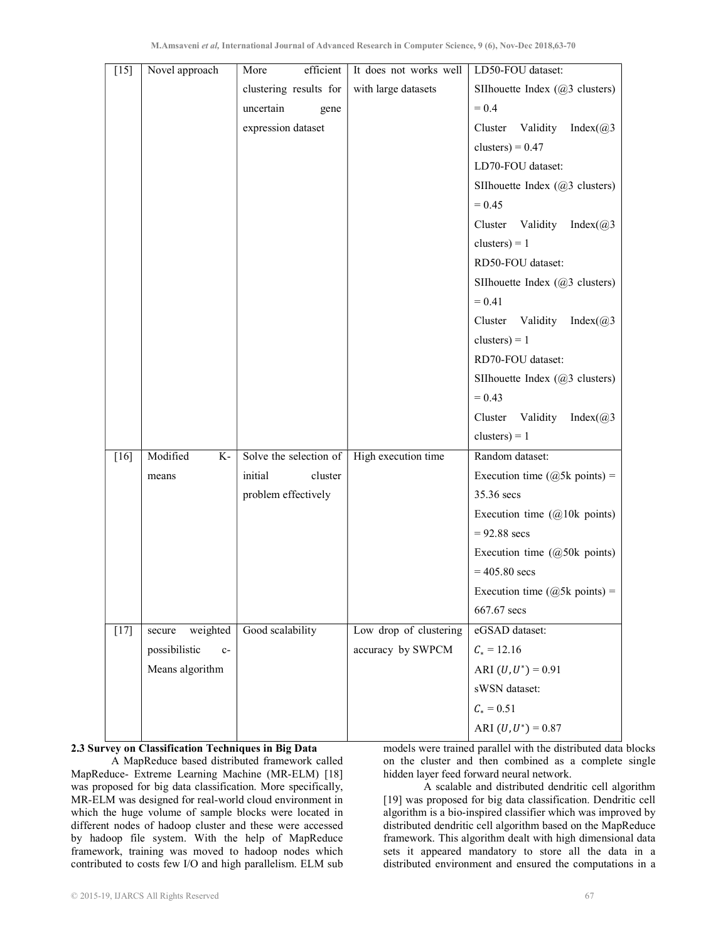| $\overline{[15]}$ | Novel approach        | efficient<br>More      | It does not works well | LD50-FOU dataset:                         |
|-------------------|-----------------------|------------------------|------------------------|-------------------------------------------|
|                   |                       | clustering results for | with large datasets    | SIIhouette Index $(a)$ 3 clusters)        |
|                   |                       | uncertain<br>gene      |                        | $= 0.4$                                   |
|                   |                       | expression dataset     |                        | Cluster Validity<br>Index( $@3$           |
|                   |                       |                        |                        | clusters) = $0.47$                        |
|                   |                       |                        |                        | LD70-FOU dataset:                         |
|                   |                       |                        |                        | SIIhouette Index (@3 clusters)            |
|                   |                       |                        |                        | $= 0.45$                                  |
|                   |                       |                        |                        | Cluster Validity<br>Index $(\omega)$ 3    |
|                   |                       |                        |                        | clusters $) = 1$                          |
|                   |                       |                        |                        | RD50-FOU dataset:                         |
|                   |                       |                        |                        | SII houette Index $(@3 \text{ clusters})$ |
|                   |                       |                        |                        | $= 0.41$                                  |
|                   |                       |                        |                        | Cluster Validity<br>Index( $@3$           |
|                   |                       |                        |                        | clusters) = $1$                           |
|                   |                       |                        |                        | RD70-FOU dataset:                         |
|                   |                       |                        |                        | SIIhouette Index (@3 clusters)            |
|                   |                       |                        |                        | $= 0.43$                                  |
|                   |                       |                        |                        | Validity<br>Cluster<br>Index $(\omega)$ 3 |
|                   |                       |                        |                        | clusters $) = 1$                          |
| $[16]$            | Modified<br>K-        | Solve the selection of | High execution time    | Random dataset:                           |
|                   | means                 | initial<br>cluster     |                        | Execution time ( $@5k$ points) =          |
|                   |                       | problem effectively    |                        | 35.36 secs                                |
|                   |                       |                        |                        | Execution time $(Q10k \text{ points})$    |
|                   |                       |                        |                        | $= 92.88$ secs                            |
|                   |                       |                        |                        | Execution time $(Q50k)$ points)           |
|                   |                       |                        |                        | $= 405.80$ secs                           |
|                   |                       |                        |                        | Execution time ( $@5k$ points) =          |
|                   |                       |                        |                        | 667.67 secs                               |
| $[17]$            | weighted<br>secure    | Good scalability       | Low drop of clustering | eGSAD dataset:                            |
|                   | possibilistic<br>$c-$ |                        | accuracy by SWPCM      | $C_* = 12.16$                             |
|                   | Means algorithm       |                        |                        | ARI $(U, U^*) = 0.91$                     |
|                   |                       |                        |                        | sWSN dataset:                             |
|                   |                       |                        |                        | $C_* = 0.51$                              |
|                   |                       |                        |                        | ARI $(U, U^*) = 0.87$                     |

### 2.3 Survey on Classification Techniques in Big Data

A MapReduce based distributed framework called MapReduce- Extreme Learning Machine (MR-ELM) [18] was proposed for big data classification. More specifically, MR-ELM was designed for real-world cloud environment in which the huge volume of sample blocks were located in different nodes of hadoop cluster and these were accessed by hadoop file system. With the help of MapReduce framework, training was moved to hadoop nodes which contributed to costs few I/O and high parallelism. ELM sub

models were trained parallel with the distributed data blocks on the cluster and then combined as a complete single hidden layer feed forward neural network.

A scalable and distributed dendritic cell algorithm [19] was proposed for big data classification. Dendritic cell algorithm is a bio-inspired classifier which was improved by distributed dendritic cell algorithm based on the MapReduce framework. This algorithm dealt with high dimensional data sets it appeared mandatory to store all the data in a distributed environment and ensured the computations in a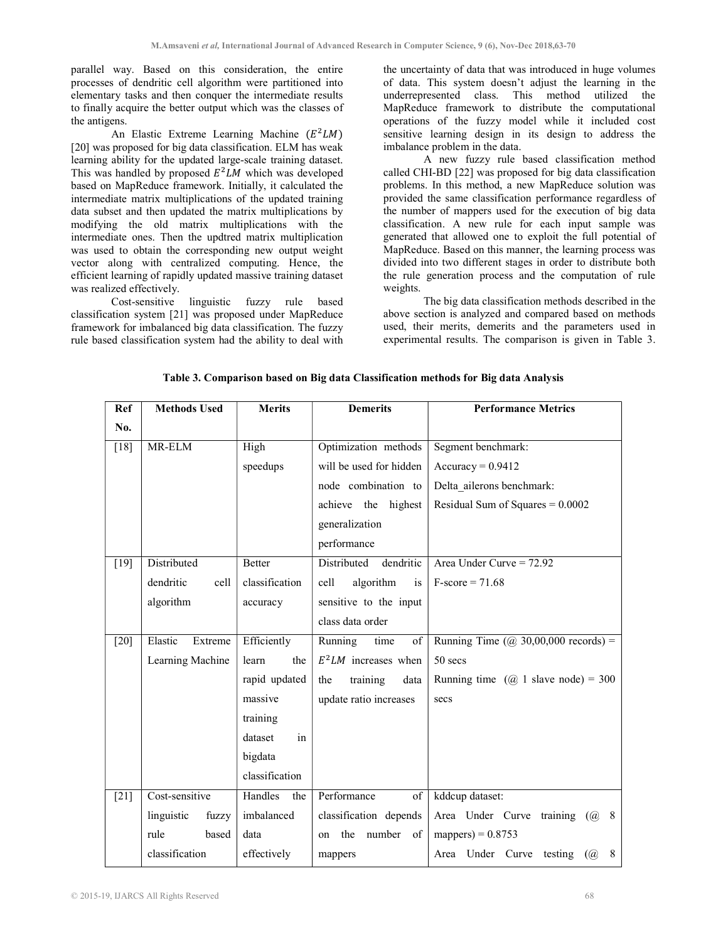parallel way. Based on this consideration, the entire processes of dendritic cell algorithm were partitioned into elementary tasks and then conquer the intermediate results to finally acquire the better output which was the classes of the antigens.

An Elastic Extreme Learning Machine  $(E^2LM)$ [20] was proposed for big data classification. ELM has weak learning ability for the updated large-scale training dataset. This was handled by proposed  $E^2LM$  which was developed based on MapReduce framework. Initially, it calculated the intermediate matrix multiplications of the updated training data subset and then updated the matrix multiplications by modifying the old matrix multiplications with the intermediate ones. Then the updtred matrix multiplication was used to obtain the corresponding new output weight vector along with centralized computing. Hence, the efficient learning of rapidly updated massive training dataset was realized effectively.

Cost-sensitive linguistic fuzzy rule based classification system [21] was proposed under MapReduce framework for imbalanced big data classification. The fuzzy rule based classification system had the ability to deal with the uncertainty of data that was introduced in huge volumes of data. This system doesn't adjust the learning in the underrepresented class. This method utilized the MapReduce framework to distribute the computational operations of the fuzzy model while it included cost sensitive learning design in its design to address the imbalance problem in the data.

A new fuzzy rule based classification method called CHI-BD [22] was proposed for big data classification problems. In this method, a new MapReduce solution was provided the same classification performance regardless of the number of mappers used for the execution of big data classification. A new rule for each input sample was generated that allowed one to exploit the full potential of MapReduce. Based on this manner, the learning process was divided into two different stages in order to distribute both the rule generation process and the computation of rule weights.

The big data classification methods described in the above section is analyzed and compared based on methods used, their merits, demerits and the parameters used in experimental results. The comparison is given in Table 3.

| Ref    | <b>Methods Used</b> | <b>Merits</b>  | <b>Demerits</b>           | <b>Performance Metrics</b>              |
|--------|---------------------|----------------|---------------------------|-----------------------------------------|
| No.    |                     |                |                           |                                         |
| $[18]$ | MR-ELM              | High           | Optimization methods      | Segment benchmark:                      |
|        |                     | speedups       | will be used for hidden   | $Accuracy = 0.9412$                     |
|        |                     |                | node combination to       | Delta ailerons benchmark:               |
|        |                     |                | achieve the highest       | Residual Sum of Squares $= 0.0002$      |
|        |                     |                | generalization            |                                         |
|        |                     |                | performance               |                                         |
| $[19]$ | Distributed         | <b>Better</b>  | Distributed<br>dendritic  | Area Under Curve = 72.92                |
|        | dendritic<br>cell   | classification | algorithm<br>is<br>cell   | $F-score = 71.68$                       |
|        | algorithm           | accuracy       | sensitive to the input    |                                         |
|        |                     |                | class data order          |                                         |
| $[20]$ | Elastic<br>Extreme  | Efficiently    | Running<br>time<br>of     | Running Time $(Q\ 30,00,000$ records) = |
|        | Learning Machine    | learn<br>the   | $E^2LM$ increases when    | 50 secs                                 |
|        |                     | rapid updated  | training<br>the<br>data   | Running time $(Q)$ 1 slave node) = 300  |
|        |                     | massive        | update ratio increases    | secs                                    |
|        |                     | training       |                           |                                         |
|        |                     | dataset<br>in  |                           |                                         |
|        |                     | bigdata        |                           |                                         |
|        |                     | classification |                           |                                         |
| $[21]$ | Cost-sensitive      | Handles<br>the | Performance<br>of         | kddcup dataset:                         |
|        | linguistic<br>fuzzy | imbalanced     | classification depends    | Area Under Curve training $(a)$ 8       |
|        | rule<br>based       | data           | number<br>the<br>of<br>on | mappers) = $0.8753$                     |
|        | classification      | effectively    | mappers                   | Area Under Curve testing (@<br>8        |

Table 3. Comparison based on Big data Classification methods for Big data Analysis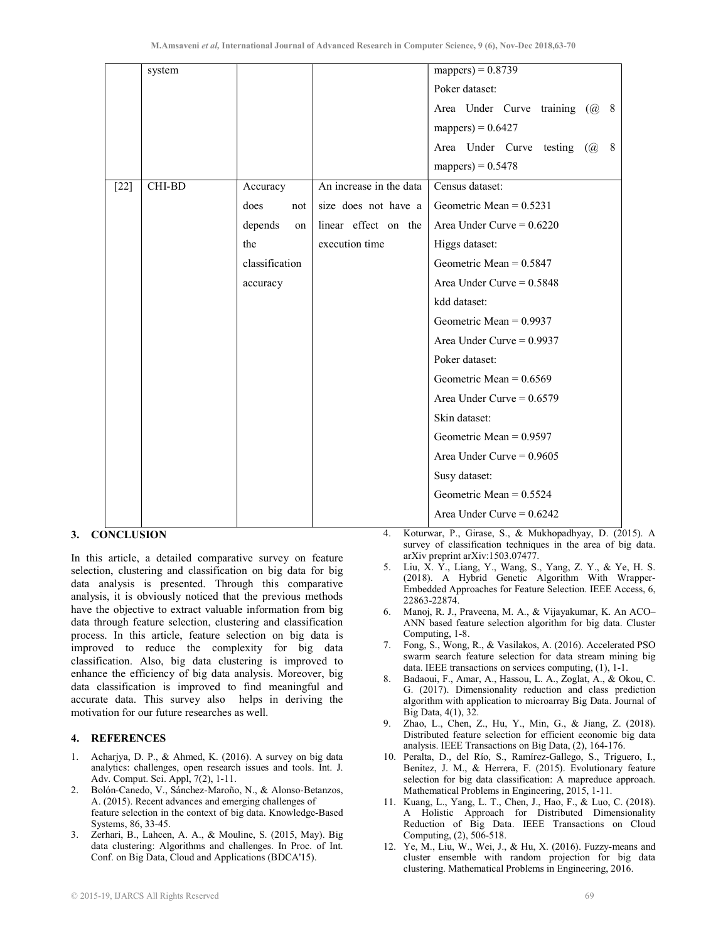|        | system |                |                         | mappers) = $0.8739$                |  |
|--------|--------|----------------|-------------------------|------------------------------------|--|
|        |        |                |                         | Poker dataset:                     |  |
|        |        |                |                         | Area Under Curve training (@ 8     |  |
|        |        |                |                         | mappers) = $0.6427$                |  |
|        |        |                |                         | Area Under Curve testing (@<br>- 8 |  |
|        |        |                |                         | mappers) = $0.5478$                |  |
| $[22]$ | CHI-BD | Accuracy       | An increase in the data | Census dataset:                    |  |
|        |        | does<br>not    | size does not have a    | Geometric Mean = $0.5231$          |  |
|        |        | depends<br>on  | linear effect on the    | Area Under Curve = $0.6220$        |  |
|        |        | the            | execution time          | Higgs dataset:                     |  |
|        |        | classification |                         | Geometric Mean = $0.5847$          |  |
|        |        | accuracy       |                         | Area Under Curve = $0.5848$        |  |
|        |        |                |                         | kdd dataset:                       |  |
|        |        |                |                         | Geometric Mean = $0.9937$          |  |
|        |        |                |                         | Area Under Curve = $0.9937$        |  |
|        |        |                |                         | Poker dataset:                     |  |
|        |        |                |                         | Geometric Mean = $0.6569$          |  |
|        |        |                |                         | Area Under Curve = $0.6579$        |  |
|        |        |                |                         | Skin dataset:                      |  |
|        |        |                |                         | Geometric Mean $= 0.9597$          |  |
|        |        |                |                         | Area Under Curve = $0.9605$        |  |
|        |        |                |                         | Susy dataset:                      |  |
|        |        |                |                         | Geometric Mean = $0.5524$          |  |
|        |        |                |                         | Area Under Curve = $0.6242$        |  |

# 3. CONCLUSION

In this article, a detailed comparative survey on feature selection, clustering and classification on big data for big data analysis is presented. Through this comparative analysis, it is obviously noticed that the previous methods have the objective to extract valuable information from big data through feature selection, clustering and classification process. In this article, feature selection on big data is improved to reduce the complexity for big data classification. Also, big data clustering is improved to enhance the efficiency of big data analysis. Moreover, big data classification is improved to find meaningful and accurate data. This survey also helps in deriving the motivation for our future researches as well.

## 4. REFERENCES

- 1. Acharjya, D. P., & Ahmed, K. (2016). A survey on big data analytics: challenges, open research issues and tools. Int. J. Adv. Comput. Sci. Appl, 7(2), 1-11.
- 2. Bolón-Canedo, V., Sánchez-Maroño, N., & Alonso-Betanzos, A. (2015). Recent advances and emerging challenges of feature selection in the context of big data. Knowledge-Based Systems, 86, 33-45.
- 3. Zerhari, B., Lahcen, A. A., & Mouline, S. (2015, May). Big data clustering: Algorithms and challenges. In Proc. of Int. Conf. on Big Data, Cloud and Applications (BDCA'15).

4. Koturwar, P., Girase, S., & Mukhopadhyay, D. (2015). A survey of classification techniques in the area of big data. arXiv preprint arXiv:1503.07477.

- 5. Liu, X. Y., Liang, Y., Wang, S., Yang, Z. Y., & Ye, H. S. (2018). A Hybrid Genetic Algorithm With Wrapper-Embedded Approaches for Feature Selection. IEEE Access, 6, 22863-22874.
- 6. Manoj, R. J., Praveena, M. A., & Vijayakumar, K. An ACO– ANN based feature selection algorithm for big data. Cluster Computing, 1-8.
- 7. Fong, S., Wong, R., & Vasilakos, A. (2016). Accelerated PSO swarm search feature selection for data stream mining big data. IEEE transactions on services computing, (1), 1-1.
- 8. Badaoui, F., Amar, A., Hassou, L. A., Zoglat, A., & Okou, C. G. (2017). Dimensionality reduction and class prediction algorithm with application to microarray Big Data. Journal of Big Data, 4(1), 32.
- 9. Zhao, L., Chen, Z., Hu, Y., Min, G., & Jiang, Z. (2018). Distributed feature selection for efficient economic big data analysis. IEEE Transactions on Big Data, (2), 164-176.
- 10. Peralta, D., del Río, S., Ramírez-Gallego, S., Triguero, I., Benitez, J. M., & Herrera, F. (2015). Evolutionary feature selection for big data classification: A mapreduce approach. Mathematical Problems in Engineering, 2015, 1-11.
- 11. Kuang, L., Yang, L. T., Chen, J., Hao, F., & Luo, C. (2018). A Holistic Approach for Distributed Dimensionality Reduction of Big Data. IEEE Transactions on Cloud Computing, (2), 506-518.
- 12. Ye, M., Liu, W., Wei, J., & Hu, X. (2016). Fuzzy-means and cluster ensemble with random projection for big data clustering. Mathematical Problems in Engineering, 2016.